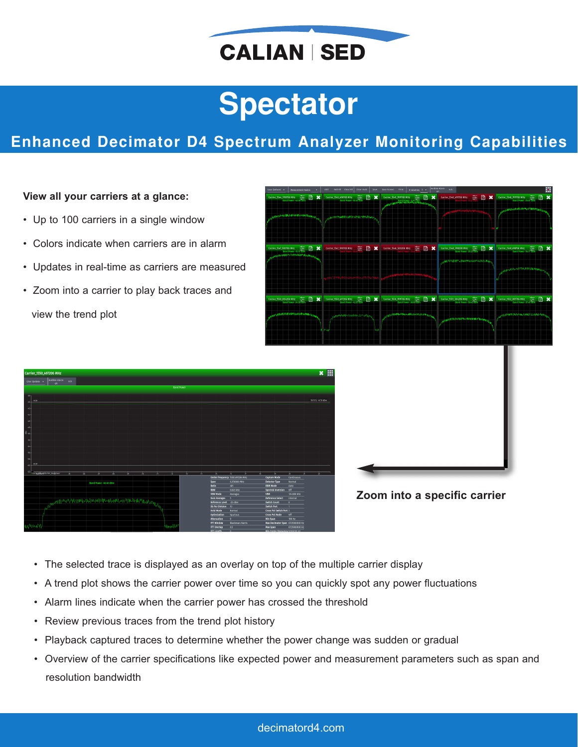

# **Spectator**

# **Enhanced Decimator D4 Spectrum Analyzer Monitoring Capabilities**

### **View all your carriers at a glance:**

- Up to 100 carriers in a single window
- Colors indicate when carriers are in alarm
- Updates in real-time as carriers are measured
- Zoom into a carrier to play back traces and view the trend plot

| User Defined -<br>Measurement Name:                                             | Add All Clear All   Clear Hold<br>Add.<br>Save                                            | Save Screen Print   # Columns: 5 =<br>off.                                              | Audible Alarm Ack                                                                                                                          | 圖                                                                                                                                            |
|---------------------------------------------------------------------------------|-------------------------------------------------------------------------------------------|-----------------------------------------------------------------------------------------|--------------------------------------------------------------------------------------------------------------------------------------------|----------------------------------------------------------------------------------------------------------------------------------------------|
| Ð<br>$\mathbf x$<br>Carrier_1544_998/06 MHz<br>- Eard Rower -45.51 28m          | B<br>498706 MHz - 2002<br>Band Rower (50.46 BBn<br>$\mathbf x$<br>Carrier_1545_498706 MHz | Ð<br>$\mathbf x$<br>Carrier_1545_999706 MHz<br>医<br><b>CAPTIONS IN CAPTURES SERVICE</b> | R<br>Carrier_1546_499706 MHz<br>$\mathbf x$                                                                                                | B<br>$\boldsymbol{\mathsf{x}}$<br>Carrier_1546_999705 MHz<br>Band Rower-2553 dam<br><b><i><b>ALLES AND SHARE SHOW AND BELLEVILLE</b></i></b> |
| <b>CONTRACTOR CONTRACTOR AND ARTISTS AND RELEASE</b>                            |                                                                                           |                                                                                         |                                                                                                                                            |                                                                                                                                              |
| Carrier_1547_900706 MHz<br>Band Power-10.3 81m<br><b>MANUFACTION CONTRACTOR</b> | <b>EX</b>                                                                                 |                                                                                         | Carrier_1548_998206 MHz<br>Band Power-29.25 GTm<br>$\blacksquare$<br>$\boldsymbol{\mathsf{x}}$<br><b>UNITED TO MANUFACTURER IN THE AVE</b> | Carrier_1549_498706 MHz<br>Bard Power -54.77 atm<br>B<br>$\boldsymbol{\mathsf{x}}$                                                           |
|                                                                                 |                                                                                           |                                                                                         |                                                                                                                                            | <b>THAN AN WARD AND MOVEMENT AND INCOME.</b>                                                                                                 |
| <b>B</b> x<br>Carrier 1550 004206 MHz 2651 2011                                 | 07205 MHz = 225 2 mm<br>a x<br>Carrier 1550 (97205 MHz                                    | Carrier 1550 \$99706 MHz<br>Bind Power -30.60 Bind<br><b>EX</b>                         | Carrier_1551_504206 MHz<br>Start Power -5047 Blan<br>凮<br>$\boldsymbol{\mathsf{x}}$                                                        | Carrier 1552 001705 MHz<br>圖<br>$\boldsymbol{\mathsf{x}}$                                                                                    |
| <b>ANTICKTORESSERIES</b>                                                        | <b><i>Mary Additional Association</i></b>                                                 | <b>APPRENDICABLE OF PERSONAL PROPERTY</b>                                               | <b>ARTISTAN WAS ARRESTED FOR DISPLAYING</b>                                                                                                | madow/PanchausvAMA-University                                                                                                                |
|                                                                                 |                                                                                           |                                                                                         |                                                                                                                                            |                                                                                                                                              |
|                                                                                 | $x \mathop{\#}$                                                                           |                                                                                         |                                                                                                                                            |                                                                                                                                              |
| 19:11:11, -47.19 dBm                                                            |                                                                                           |                                                                                         |                                                                                                                                            |                                                                                                                                              |





- The selected trace is displayed as an overlay on top of the multiple carrier display
- A trend plot shows the carrier power over time so you can quickly spot any power fluctuations
- Alarm lines indicate when the carrier power has crossed the threshold
- Review previous traces from the trend plot history
- Playback captured traces to determine whether the power change was sudden or gradual
- Overview of the carrier specifications like expected power and measurement parameters such as span and resolution bandwidth